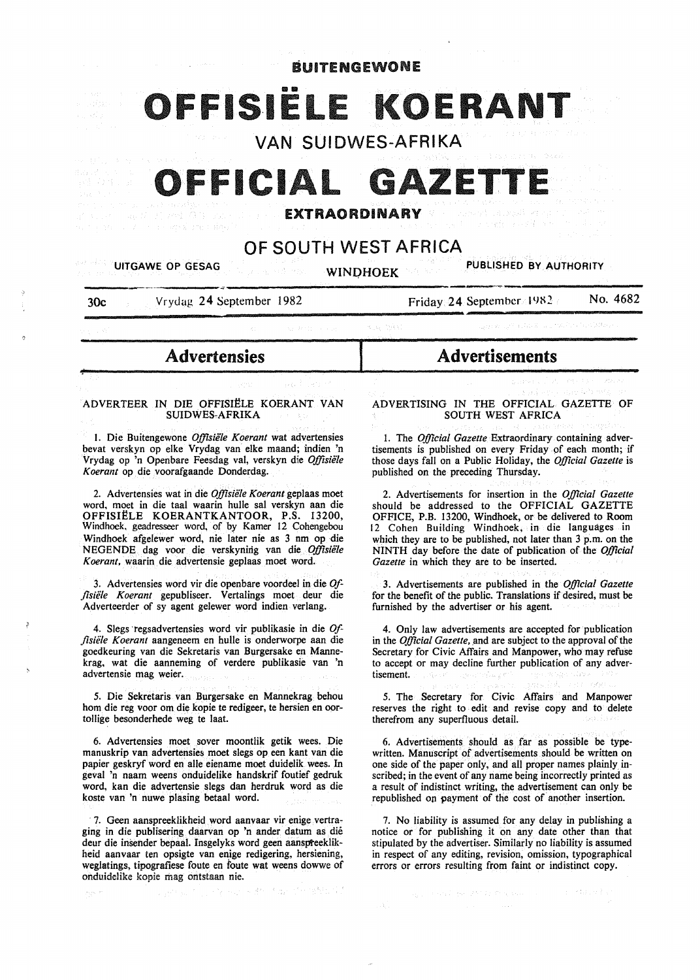# **BUITENGEWONE ISIËLE KOERANT**

VAN SUIDWES-AFRIKA

# FFICIAL GAZETT

EXTRAORDINARY

# OF SOUTH WEST AFRICA

| <b>Example 12 September 12 September 12 September 12 September 12 September 12 September 12 September 12 September 12 September 12 September 12 September 12 September 12 September 12 September 12 September 12 September 12 Se</b><br>PUBLISHED BY AUTHORITY<br>一般の はいた |  |                                    |                                      |  |                                                              |  |
|---------------------------------------------------------------------------------------------------------------------------------------------------------------------------------------------------------------------------------------------------------------------------|--|------------------------------------|--------------------------------------|--|--------------------------------------------------------------|--|
| Vrydag 24 September 1982<br>30c                                                                                                                                                                                                                                           |  |                                    | No. 4682<br>Friday 24 September 1982 |  |                                                              |  |
|                                                                                                                                                                                                                                                                           |  | THE R. P. LEWIS CO., LANSING MICH. |                                      |  | Collection of the AMERICAN CONTRACTOR CONTRACTOR             |  |
| <b>Advertensies</b>                                                                                                                                                                                                                                                       |  | <b>Advertisements</b>              |                                      |  |                                                              |  |
|                                                                                                                                                                                                                                                                           |  | ਕਾਰਨ ਦਾ ਕਹੀ ਕਾ <i>ਰੀ</i>           | フロード                                 |  | Community, Research Road<br>i kandidas di dina kebawatan per |  |

## ADVERTEER IN DIE OFFISIËLE KOERANT VAN SUIDWES-AFRIKA

1. Die Buitengewone Offisiële Koerant wat advertensies bevat verskyn op elke Vrydag van elke maand; indien 'n Vrydag op 'n Openbare Feesdag val, verskyn die *Offisiele Koerant* op die voorafgaande Donderdag.

2. Advertensies wat in die *Offisiele Koerant* geplaas moet word, moet in die taal waarin hulle sal verskyn aan die OFFISI~LE KOERANTKANTOOR, P.S. 13200, Windhoek, geadresseer word, of by Kamer 12 Cohengebou Windhoek afgelewer word, nie later nie as 3 nm op die NEGENDE dag voor die verskynirig van die *Offisiele Koerant,* waarin die advertensie geplaas moet word.

3. Advertensies word vir die openbare voordeel in die *Offisiifle Koerant* gepubliseer. Vertalings moet deur die Adverteerder of sy agent gelewer word indien verlang.

4. Slegs ·regsadvertensies word vir publikasie in die *Offisiifle K oerant* aangeneem en hulle is onderworpe aan die goedkeuring van die Sekretaris van Burgersake en Mannekrag, wat die aanneming of verdere publikasie van 'n advertensie mag weier.

*5.* Die Sekretaris van Burgersake en Mannekrag behou hom die reg voor om die kopie te redigeer, te hersien en oortollige besonderhede weg te laat.

6. Advertensies moet sover moontlik getik wees. Die manuskrip van advertensies moet slegs op een kant van die papier geskryf word en aile eiename moet duidelik wees. In geval 'n naam weens onduidelike handskrif foutief gedruk word, kan die advertensie slegs dan herdruk word as die koste van 'n nuwe plasing betaal word.

7. Geen aanspreeklikheid word aanvaar vir enige vertraging in die publisering daarvan op 'n ander datum as die deur die insender bepaal. Insgelyks word geen aanspreeklikheid aanvaar ten opsigte van enige redigering, hersiening, weglatings, tipografiese foute en foute wat weens dowwe of onduidelike kopie mag ontstaan nie.

ADVERTISING IN THE OFFICIAL GAZETTE OF SOUTH WEST AFRICA

na enikalo sib 10 sir v 0

1. The *Official Gazette* Extraordinary containing advertisements is published on every Friday of each month; if those days fall on a Public Holiday, the *Official Gazette* is published on the preceding Thursday.

2. Advertisements for insertion in the *Official Gazette*  should be addressed to the OFFICIAL GAZETTE OFFICE, P.B. 13200, Windhoek, or be delivered to Room 12 Cohen Building Windhoek, in die languages in which they are to be published, not later than 3 p.m. on the NINTH day before the date of publication of the *Official Gazette* in which they are to be inserted.

3. Advertisements are published in the *Official Gazette*  for the benefit of the public. Translations if desired, must be furnished by the advertiser or his agent.

4. Only law advertisements are accepted for publication in the *Official Gazette,* and are subject to the approval of the Secretary for Civic Affairs and Manpower, who may refuse to accept or may decline further publication of any advertisement.

*5.* The Secretary for Civic Affairs and Manpower reserves the right to edit and revise copy and to delete therefrom any superfluous detail.

6. Advertisements should as far as possible be typewritten. Manuscript of advertisements should be written on one side of the paper only, and all proper names plainly inscribed; in the event of any name being incorrectly printed as a result of indistinct writing, the advertisement can only be republished on payment of the cost of another insertion.

7. No liability is assumed for any delay in publishing a notice or for publishing it on any date other than that stipulated by the advertiser. Similarly no liability is assumed in respect of any editing, revision, omission, typographical errors or errors resulting from faint or indistinct copy.

机工业室 医动脉 法不同属于受任何责任的责任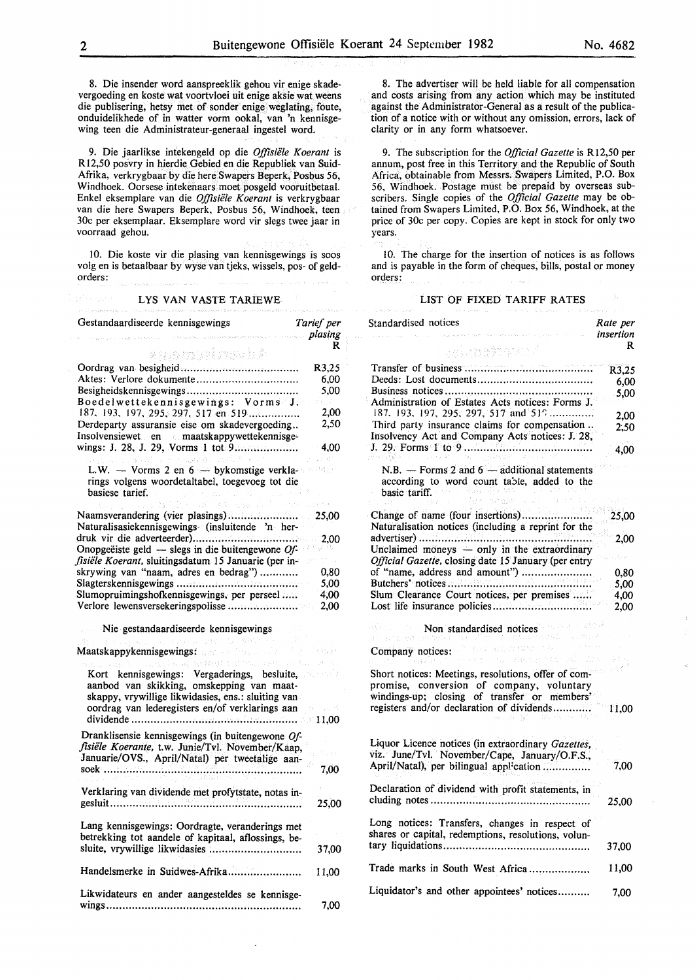8. Die insender word aanspreeklik gehou vir enige skadevergoeding en koste wat voortvloei uit enige aksie wat weens die publisering, hetsy met of sonder enige weglating, foute, onduidelikhede of in watter vorm ookal, van 'n kennisgewing teen die Administrateur-generaal ingestel word.

9. Die jaarlikse intekengeld op die *Offisiele Koerant* is R12,50 posvry in hierdie Gebied en die Republiek van Suid-Afrika, verkrygbaar by die here Swapers Beperk, Posbus 56, Windhoek. Oorsese intekenaars moet posgeld vooruitbetaal. Enkel eksemplare van die *Offisiele Koerant* is verkrygbaar van die here Swapers Beperk, Posbus 56, Windhoek, teen 30c per eksemplaar. Eksemplare word vir slegs twee jaar in voorraad gehou.

10. Die koste vir die plasing van kennisgewings is soos volg en is betaalbaar by wyse van tjeks, wissels, pos- of geldorders:

#### LYS VAN VASTE TARIEWE

| Gestandaardiseerde kennisgewings                                                                                                               | Tarief per   |
|------------------------------------------------------------------------------------------------------------------------------------------------|--------------|
|                                                                                                                                                | plasing      |
| ensmoliweb A                                                                                                                                   | R            |
|                                                                                                                                                | R3,25        |
| Aktes: Verlore dokumente                                                                                                                       | 6,00         |
|                                                                                                                                                | 5.00         |
| Boedelwettekennisgewings: Vorms J.<br>187, 193, 197, 295, 297, 517 en 519                                                                      | un f<br>2,00 |
| Derdeparty assuransie eise om skadevergoeding                                                                                                  | 2,50         |
| Insolvensiewet en anderemaatskappywettekennisge-                                                                                               |              |
| with the complete the                                                                                                                          | 4.00         |
| L.W. - Vorms 2 en 6 - bykomstige verkla-<br>rings volgens woordetaltabel, toegevoeg tot die<br>basiese tarief.                                 |              |
| Cidad.                                                                                                                                         |              |
| Naamsverandering (vier plasings)                                                                                                               | 25,00        |
| Naturalisasiekennisgewings (insluitende 'n her-                                                                                                |              |
|                                                                                                                                                | 2,00         |
| Onopgeëiste geld — slegs in die buitengewone $Of$ -                                                                                            |              |
| fisiële Koerant, sluitingsdatum 15 Januarie (per in-                                                                                           |              |
| skrywing van "naam, adres en bedrag")                                                                                                          | 0,80         |
|                                                                                                                                                | 5,00         |
| Slumopruimingshofkennisgewings, per perseel                                                                                                    | 4,00         |
| Verlore lewensversekeringspolisse                                                                                                              | 2,00         |
| Nie gestandaardiseerde kennisgewings<br>学生の始終 (30)                                                                                             |              |
| Maatskappykennisgewings: Barrell and the control                                                                                               |              |
| areal olaphedrophical complete.                                                                                                                |              |
| Kort kennisgewings: Vergaderings, besluite,<br>aanbod van skikking, omskepping van maat-<br>skappy, vrywillige likwidasies, ens.: sluiting van |              |
| oordrag van lederegisters en/of verklarings aan                                                                                                |              |
|                                                                                                                                                | $-11,00$     |
| Dranklisensie kennisgewings (in buitengewone Of-                                                                                               |              |
| fisiële Koerante, t.w. Junie/Tvl. November/Kaap,                                                                                               |              |
| Januarie/OVS., April/Natal) per tweetalige aan-<br>soek                                                                                        | 7,00         |
| Verklaring van dividende met profytstate, notas in-                                                                                            |              |
|                                                                                                                                                | 25,00        |
| Lang kennisgewings: Oordragte, veranderings met<br>betrekking tot aandele of kapitaal, aflossings, be-                                         |              |
|                                                                                                                                                | 37,00        |
| Handelsmerke in Suidwes-Afrika                                                                                                                 | 11,00        |
| Likwidateurs en ander aangesteldes se kennisge-                                                                                                | 7,00         |

8. The advertiser will be held liable for all compensation and costs arising from any action which may be instituted against the Administrator-General as a result of the publication of a notice with or without any omission, errors, lack of clarity or in any form whatsoever.

*9.* The subscription for the *Official Gazette* is Rl2,50 per annum, post free in this Territory and the Republic of South Africa, obtainable from Messrs. Swapers Limited, P.O. Box 56, Windhoek. Postage must be prepaid by overseas subscribers. Single copies of the *Official Gazette* may be obtained from Swapers Limited, P.O. Box 56, Windhoek, at the price of 30c per copy. Copies are kept in stock for only two years.

IO. The charge for the insertion of notices is as follows and is payable in the form of cheques, bills, postal or money orders:

## LIST OF FIXED TARIFF RATES

| Standardised notices                                                                                                                                                                                                                                                                                                              | Rate per<br>insertion |
|-----------------------------------------------------------------------------------------------------------------------------------------------------------------------------------------------------------------------------------------------------------------------------------------------------------------------------------|-----------------------|
| an an mhavo f                                                                                                                                                                                                                                                                                                                     | R                     |
|                                                                                                                                                                                                                                                                                                                                   | R3,25<br>6,00         |
| Administration of Estates Acts notices: Forms J.<br>187, 193, 197, 295, 297, 517 and 519                                                                                                                                                                                                                                          | 5,00                  |
| Third party insurance claims for compensation<br>Insolvency Act and Company Acts notices: J. 28,                                                                                                                                                                                                                                  | 2,00<br>2.50          |
|                                                                                                                                                                                                                                                                                                                                   | 4,00                  |
| N.B. $-$ Forms 2 and $6 -$ additional statements<br>according to word count table, added to the<br>basic tariff. The control of the control of the control of the control of the control of the control of the control of the control of the control of the control of the control of the control of the control of the control o |                       |
| Naturalisation notices (including a reprint for the                                                                                                                                                                                                                                                                               | 25,00                 |
| advertiser)<br>Unclaimed moneys - only in the extraordinary<br>Official Gazette, closing date 15 January (per entry                                                                                                                                                                                                               | 2,00                  |
| of "name, address and amount")                                                                                                                                                                                                                                                                                                    | 0,80                  |
| Slum Clearance Court notices, per premises                                                                                                                                                                                                                                                                                        | 5,00<br>4,00          |
|                                                                                                                                                                                                                                                                                                                                   | 2,00                  |
| Non standardised notices and a state<br>origin.<br>$\mathcal{F}_{\mathcal{R}}=\{\mathcal{F}_{\mathcal{R}}\}_{\mathcal{R}}$<br>et alte ed                                                                                                                                                                                          |                       |
| P. Leananchemen<br>Company notices:<br>u, kacamat at l                                                                                                                                                                                                                                                                            |                       |
| Short notices: Meetings, resolutions, offer of com-<br>promise, conversion of company, voluntary<br>windings-up; closing of transfer or members'                                                                                                                                                                                  |                       |
| registers and/or declaration of dividends                                                                                                                                                                                                                                                                                         | 11,00                 |
| Liquor Licence notices (in extraordinary Gazettes,<br>viz. June/Tvl. November/Cape, January/O.F.S.,                                                                                                                                                                                                                               |                       |
| April/Natal), per bilingual application                                                                                                                                                                                                                                                                                           | 7,00                  |
| Declaration of dividend with profit statements, in                                                                                                                                                                                                                                                                                | 25,00                 |
| Long notices: Transfers, changes in respect of<br>shares or capital, redemptions, resolutions, volun-                                                                                                                                                                                                                             |                       |
|                                                                                                                                                                                                                                                                                                                                   | 37,00                 |
| Trade marks in South West Africa                                                                                                                                                                                                                                                                                                  | 11,00                 |
| Liquidator's and other appointees' notices                                                                                                                                                                                                                                                                                        | 7.00                  |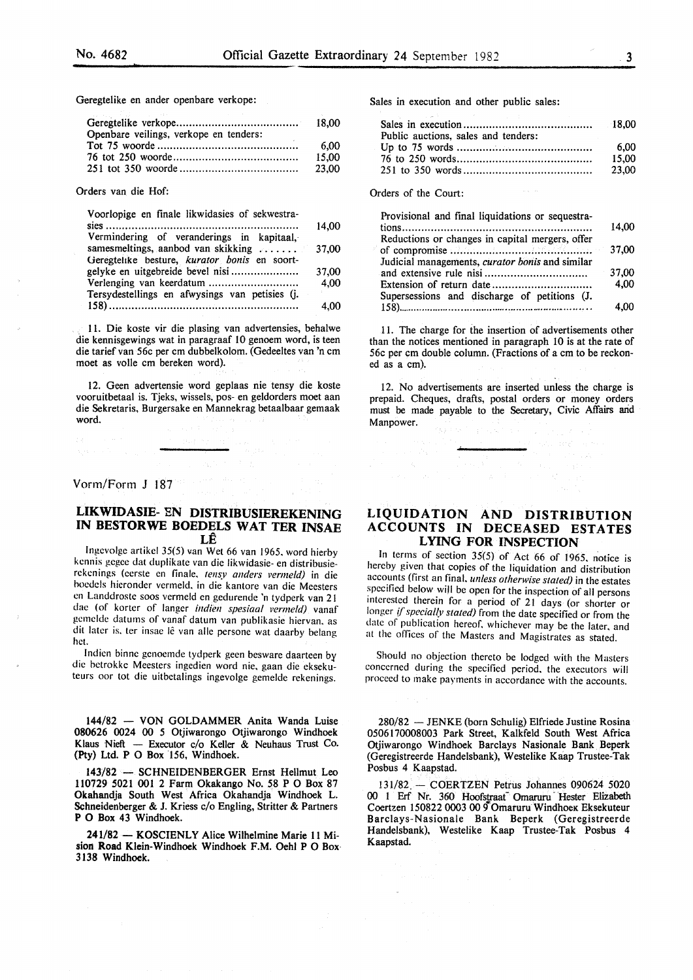Geregtelike en ander openbare verkope:

|                                        | 18.00 |
|----------------------------------------|-------|
| Openbare veilings, verkope en tenders: |       |
|                                        | 6.00  |
|                                        | 15.00 |
|                                        | 23.00 |

Orders van die Hof:

| Voorlopige en finale likwidasies of sekwestra- |       |
|------------------------------------------------|-------|
|                                                | 14.00 |
| Vermindering of veranderings in kapitaal,      |       |
| samesmeltings, aanbod van skikking             | 37,00 |
| Geregtelike besture, kurator bonis en soort-   |       |
| gelyke en uitgebreide bevel nisi               | 37,00 |
|                                                | 4,00  |
| Tersydestellings en afwysings van petisies (j. |       |
|                                                | 4.00  |
|                                                |       |

11. Die koste vir die plasing van advertensies, behalwe die kennisgewings wat in paragraaf 10 genoem word, is teen die tarief van 56c per em dubbelkolom. (Gedeeltes van 'n em moet as voile em bereken word).

12. Geen advertensie word geplaas nie tensy die koste vooruitbetaal is. Tjeks, wissels, pos- en geldorders moet aan die Sekretaris, Burgersake en Mannekrag betaalbaar gemaak word.

### Vonn/Form J 187

## LIKWIDASIE- EN DISTRIBUSIEREKENING IN BESTORWE BOEDELS WAT TER INSAE LE

lngcvolge artikel 35(5) van Wet 66 van 1965, word hierby kcnnis gegee dat duplikate van die likwidasie- en distribusierckcnings (cerste en finale, tensy anders vermeld) in die hocdels hieronder vermeld. in die kantore van die Meesters en Landdroste soos vermeld en gcdurende 'n tydperk van 21 dae (of korter of langer *indien spesiaal vermeld)* vanaf gcmcldc datums of vanaf datum van publikasie hiervan. as dit later is, ter insae lê van alle persone wat daarby belang het.

Indien binne genoemde tydperk geen besware daarteen by die hetrokke Meesters ingedien word nie. gaan die cksekuteurs oor tot die uitbetalings ingevolge gemelde rekenings.

144/82 - VON GOLDAMMER Anita Wanda Luise 080626 0024 00 5 Otjiwarongo Otjiwarongo Windhoek Klaus Nieft - Executor c/o Keller & Neuhaus Trust Co. (Pty) Ltd. P 0 Box 156, Windhoek.

143/82 - SCHNEIDENBERGER Ernst Hellmut Leo 110729 5021 001 2 Farm Okakango No. 58 P 0 Box 87 Okahandja South West Africa Okahandja Windhoek L. Schneidenberger & J. Kriess c/o Engling, Stritter & Partners P 0 Box 43 Windhoek.

241/82 - KOSCIENLY Alice Wilhelmine Marie 11 Mision Road Klein-Windhoek Windhoek F.M. Oehl P 0 Box 3138 Windhoek.

Sales in execution and other public sales:

| Public auctions, sales and tenders: |       |
|-------------------------------------|-------|
|                                     | 6.00  |
|                                     | 15.00 |
|                                     | 23.00 |

Orders of the Court:

| Provisional and final liquidations or sequestra- |
|--------------------------------------------------|
| 14.00                                            |
| Reductions or changes in capital mergers, offer  |
| 37,00                                            |
| Judicial managements, curator bonis and similar  |
| 37,00                                            |
| 4.00                                             |
| Supersessions and discharge of petitions (J.     |
| 4.00                                             |
|                                                  |

11. The charge for the insertion of advertisements other than the notices mentioned in paragraph 10 is at the rate of 56c per em double column. (Fractions of a em to be reckoned as a em).

12. No advertisements are inserted unless the charge is prepaid. Cheques, drafts, postal orders or money orders must be made payable to the Secretary, Civic Affairs arid Manpower.

## LIQUIDATION AND DISTRIBUTION ACCOUNTS IN DECEASED ESTATES LYING FOR INSPECTION

In terms of section  $35(5)$  of Act 66 of 1965, notice is hereby given that copies of the liquidation and distribution accounts (first an final. *unless otherwise stated)* in the estates specified below will be open for the inspection of all persons interested therein for a period of 21 days (or shorter or longer *{/'specially stated)* from the date specified or from the date of publication hereof. whichever may be the later. and at the offices of the Masters and Magistrates as stated.

Should no objection thereto be lodged with the Masters concerned during the specified period. the executors will proceed to make payments in accordance with the accounts.

280/82 - JENKE (born Schulig) Elfriede Justine Rosina 0506170008003 Park Street, Kalkfeld South West Africa Otjiwarongo Windhoek Barclays Nasionale Bank Beperk (Geregistreerde Handelsbank), Westelike Kaap Trustee-Tak Posbus 4 Kaapstad.

131/82. - COERTZEN Petrus Johannes 090624 5020 00 1 Erf Nr. 360 Hoofstraat Omaruru Hester Elizabeth Coertzen 150822 0003 00 9 Omaruru Windhoek Eksekuteur Barclays-Nasionale Bank Beperk (Geregistreerde Handelsbank), Westelike Kaap Trustee-Tak Posbus 4 Kaapstad.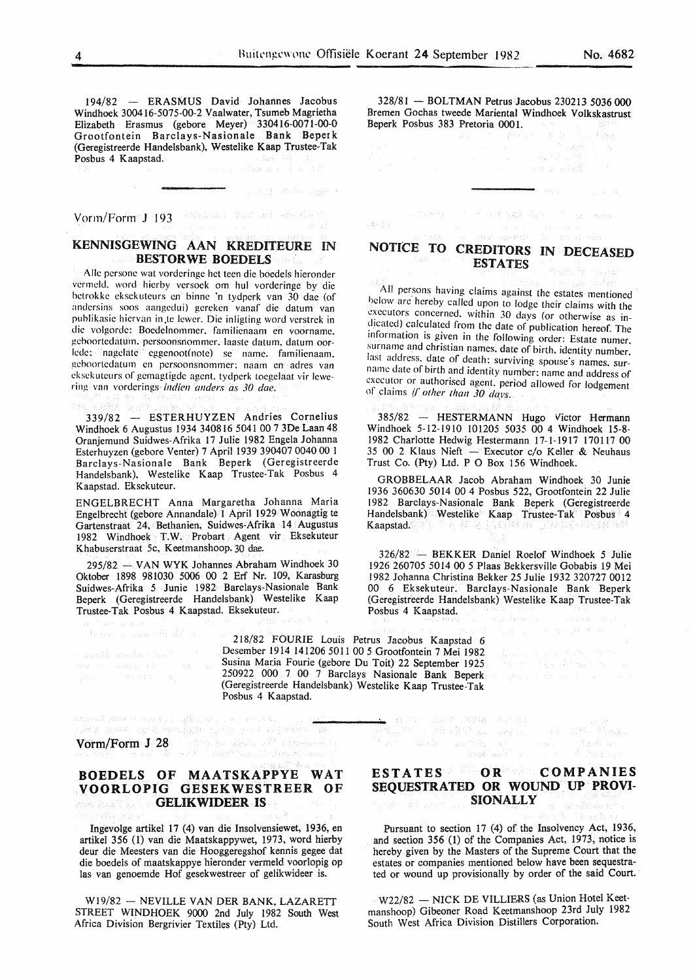$\sqrt{a} \approx \frac{1}{2} \left( \pm \right)$ 

194/82 - ERASMUS David Johannes Jacobus Windhoek 300416-5075-00-2 Vaalwater, Tsumeb Magrietha Elizabeth Erasmus (gebore Meyer) 330416-0071-00-0 Grootfontein Barc1ays-Nasionale Bank Beperk (Geregistreerde Handelsbank), Westelike Kaap Trustee-Tak Posbus 4 Kaapstad. and all

Vorm/Form J 193

## KENNISGEWING AAN KREDITEURE IN BESTORWE BOEDELS

Aile pcrsonc wat vorderingc het teen die boedels hieronder vermcld. word hicrby versoek om hul vorderinge by die bctrokke cksekuteurs en binne 'n tydperk van 30 dae (of andersins soos aangedui) gereken vanaf die datum van publikasie hiervan in .te !ewer. Die inligting word verstrek in die volgorde: Boedelnommer. familienaam en voornamc. gcboortcdatum. pcrsoonsnommcr. laaste datum. datum oorlcdc: nagclate · eggenoot(note) se name. familienaam. gcboortcdatum en persoonsnommcr: naam en adres van cksekuteurs of gemagtigde agent, tydperk toegelaat vir lewering van vorderings *indien anders as 30 dae.* 

339/82 - ESTERHUYZEN Andries Cornelius Windhoek 6 Augustus 1934 340816 5041 00 7 3De Laan 48 Oranjemund Suidwes-Afrika 17 Julie 1982 Engela Johanna Esterhuyzen (gebore Venter) 7 April 1939 390407 0040 00 1 Barclays-Nasionale Bank Beperk (Geregistreerde Handelsbank), Westelike Kaap Trustee-Tak Posbus 4 Kaapstad. Eksekuteur.

ENGELBRECHT Anna Margaretha Johanna Maria Engelbrecht (gebore Annandale) 1 April 1929 Woonagtig te Gartenstraat 24, Bethanien, Suidwes-Afrika 14 Augustus 1982 Windhoek T.W. Probart Agent vir Eksekuteur Khabuserstraat 5c, Keetmanshoop. 30 dae.

295/82 - VAN WYK Johannes Abraham Windhoek 30 Oktober 1898 981030 5006 00 2 Erf Nr. 109, Karasburg Suidwes-Afrika *5* Junie 1982 Barclays-Nasionale Bank Beperk (Geregistreerde Handelsbank) Westelike Kaap Trustee-Tak Posbus 4 Kaapstad. Eksekuteur.

 $\begin{split} &\text{argmin}_{\mathbf{x}}\left\{ \frac{1}{2}\left(\mathbf{x}^T\mathbf{x}^T\mathbf{x}^T\mathbf{x}^T\mathbf{x}^T\mathbf{x}^T\mathbf{x}^T\mathbf{x}^T\mathbf{x}^T\mathbf{x}^T\mathbf{x}^T\mathbf{x}^T\mathbf{x}^T\mathbf{x}^T\mathbf{x}^T\mathbf{x}^T\mathbf{x}^T\mathbf{x}^T\mathbf{x}^T\mathbf{x}^T\mathbf{x}^T\mathbf{x}^T\mathbf{x}^T\mathbf{x}^T\mathbf{x}^T\mathbf{x}^T\mathbf{x}^T\math$ 

标准 (2009) 网络调整器

218/82 FOURIE Louis Petrus Jacobus Kaapstad 6 Desember 1914 141206 5011 00 *5* Grootfontein 7 Mei 1982 Susina Maria Fourie (gebore Du Toit) 22 September 1925 250922 000 7 00 7 Barclays Nasionale Bank Beperk (Geregistreerde Handelsbank) Westelike Kaap Trustee-Tak Posbus 4 Kaapstad.

vormen de affine de la politika de l'affinition de la competitive de la politika de la politika de la politika<br>Judithe Carles de Carles de l'affinition de la politika de la politika de la politika de la politika de la po<br>V

## BOEDELS OF MAATSKAPPYE WAT VOORLOPIG GESEKWESTREER OF GELIKWIDEER IS

Ingevolge artikel 17 (4) van die Insolvensiewet, 1936, en artikel 356 (1) van die Maatskappywet, 1973, word hierby deur die Meesters van die Hooggeregshof kennis gegee dat die boedels of maatskappye hieronder vermeld voorlopig op las van genoemde Hof gesekwestreer of gelikwideer is.

Wl9/82- NEVILLE VANDER BANK, LAZARETT STREET WINDHOEK 9000 2nd July 1982 South West Africa Division Bergrivier Textiles (Pty) Ltd.

#### 328/81 - BOLTMAN Petrus Jacobus 230213 5036 000 Bremen Gochas tweede Mariental Windhoek Volkskastrust Beperk Posbus 383 Pretoria 000 I.

a sa sa sa duna a 1951.<br>Tagairtí

## NOTICE TO CREDITORS IN DECEASED **ESTATES**

a theorem is the movement with all and companion of

All persons having claims against the estates mentioned below arc hereby called upon to lodge their claims with the executors concerned. within 30 days (or otherwise as indicated) calculated from the date of publication hereof. The information is given in the following order: Estate numer. surname and christian names. date of birth. identity number. last address. date of death: surviving spouse's names. surname date of birth and identity number: name and address of executor or authorised agent. period allowed for lodgement of claims if other than 30 days.

385/82 - HESTERMANN Hugo Victor Hermann Windhoek 5-12-1910 101205 5035 00 4 Windhoek 15-8- 1982 Charlotte Hedwig Hestermann 17-1-1917 170117 00 35 00 2 Klaus Nieft - Executor c/o Keller & Neuhaus Trust Co. (Pty) Ltd. P 0 Box 156 Windhoek.

GROBBELAAR Jacob Abraham Windhoek 30 Junie 1936 360630 5014 00 4 Posbus 522, Grootfontein 22 Julie 1982 Barclays-Nasionale Bank Beperk (Geregistreerde Handelsbank) Westelike Kaap Trustee-Tak Posbus 4 Kaapstad.

326/82 - BEKKER Daniel Roelof Windhoek *5* Julie 1926 260705 5014 00 *5* Plaas Bekkersville Gobabis 19 Mei 1982 Johanna Christina Bekker 25 Julie 1932 320727 0012 00 6 Eksekuteur. Barclays-Nasionale Bank Beperk (Geregistreerde Handelsbank) Westelike Kaap Trustee-Tak Posbus 4 Kaapstad.

an Santa Computer Signals (2012)<br>19 November - Carl Signal Computer (2013)<br>19 November - Computer Signals, particular

 $\mathbb{E}[\mathcal{A}^{\dagger} \otimes \mathcal{A}^{\dagger} \otimes \mathcal{A}^{\dagger} \otimes \mathcal{A}^{\dagger} \otimes \mathcal{A}^{\dagger} \otimes \mathcal{A}^{\dagger} \otimes \mathcal{A}^{\dagger} \otimes \mathcal{A}^{\dagger} \otimes \mathcal{A}^{\dagger} \otimes \mathcal{A}^{\dagger} \otimes \mathcal{A}^{\dagger} \otimes \mathcal{A}^{\dagger} \otimes \mathcal{A}^{\dagger} \otimes \mathcal{A}^{\dagger} \otimes \mathcal{A}^{\dagger} \otimes \mathcal{$ 

 $\begin{split} \int_{\Omega} \varphi_{\lambda,\lambda} \left( \varphi_{\lambda,\lambda} \right) \, \mathrm{d} \mu \, \mathrm{d} \mu \, \mathrm{d} \mu \, \mathrm{d} \mu \, \mathrm{d} \mu \, \mathrm{d} \mu \, \mathrm{d} \mu \, \mathrm{d} \mu \, \mathrm{d} \mu \, \mathrm{d} \mu \, \mathrm{d} \mu \, \mathrm{d} \mu \, \mathrm{d} \mu \, \mathrm{d} \mu \, \mathrm{d} \mu \, \mathrm{d} \mu \, \mathrm{d} \mu \, \mathrm{d} \mu \, \mathrm{d} \mu \, \mathrm{d} \mu \, \mathrm{$ 

## ESTATES OR COMPANIES SEQUESTRATED OR WOUND UP PROVI-SIONALLY

Pursuant to section 17 (4) of the Insolvency Act, 1936, and section 356 (1) of the Companies Act, 1973, notice is hereby given by the Masters of the Supreme Court that the estates or companies mentioned below have been sequestrated or wound up provisionally by order of the said Court.

W22/82 - NICK DE VILLIERS (as Union Hotel Keetmanshoop) Gibeoner Road Keetmanshoop 23rd July 1982 South West Africa Division Distillers Corporation.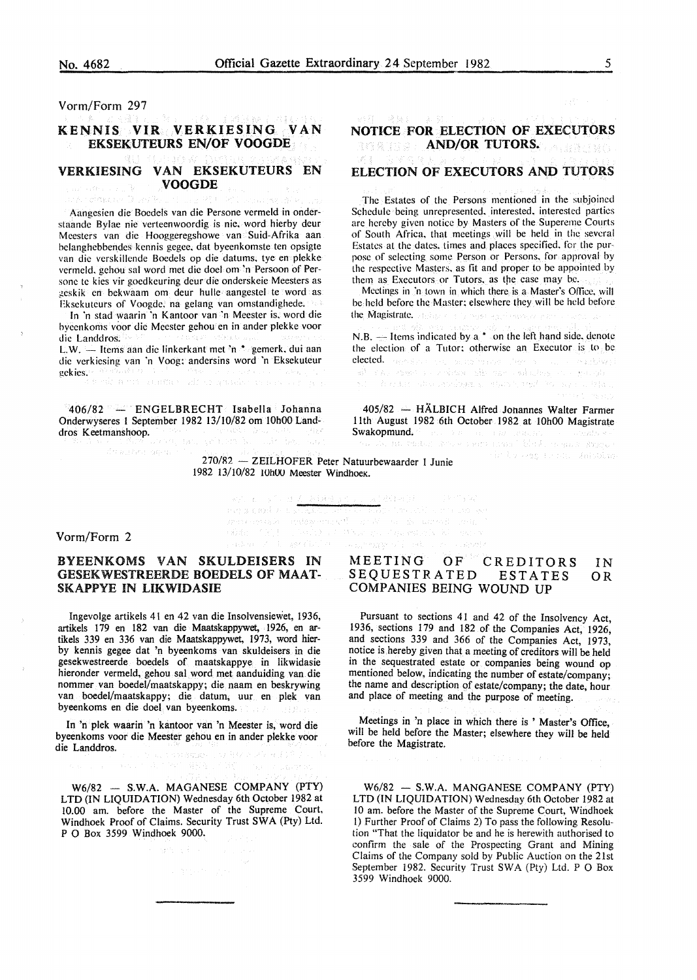Vorm/Form 297

ra rekasaw Disert

## KENNIS VIR VERKIESING VAN EKSEKUTEURS EN/OF VOOGDE

#### VERKIESING VAN EKSEKUTEURS EN VOOGDE an America W

Aangesien die Boedels van die Persone vermeld in onderstaande Bylae nie verteenwoordig is nie, word hierby deur Meesters van die Hooggeregshowe van Suid-Afrika aan belanghebbendes kennis gegee, dat byeenkomste ten opsigte van die verskillcndc Boedels op die datums, tye en plekke vermeld, gehou sal word met die doel om 'n Persoon of Persone te kies vir goedkeuring deur die onderskeie Meesters as geskik en bekwaam om deur hulle aangestel te word as Eksekuteurs of Voogde, na gelang van omstandighede.

In 'n stad waarin 'n Kantoor van 'n Meester is. word die byeenkoms voor die Meester gehou en in ander plekke voor die Landdros. L.W. - Items aan die linkerkant met 'n \* gemerk, dui aan die verkicsing van 'n Voog: andersins word 'n Eksekuteur gekies.

406/82 - ENGELBRECHT Isabella Johanna Onderwyseres I September 1982 13/10/82 om IOhOO Landdros Keetmanshoop.

din kumencapia) <sup>1</sup>

ilmen aanse vind aanselvoor en d

## NOTICE FOR ELECTION OF EXECUTORS **AND/OR TUTORS.**

## ELECTION OF EXECUTORS AND TUTORS

The Estates of the Persons mentioned in the subjoined Schedule being unrepresented. interested. interested parties arc hereby given notice by Masters of the Supereme Courts of South Africa. that meetings will be held in the several Estates at the dates. times and places specified. for the purpose of selecting some Person or Persons. for approval by the respective Masters, as fit and proper to be appointed by them as Executors or Tutors. as the case mav be.

Meetings in 'n town in which there is a Master's Office, will be held before the Master: elsewhere they will be held before the Magistrate. This are a function of the state of an

N.B.  $-$  Items indicated by a  $*$  on the left hand side, denote the election of a Tutor: otherwise an Executor is to be **elected.** The same is a mail of the same in the relative state of the same in the same of the same in the same is a state of the same in the same in the same in the same in the same in the same in the same in the same in and Polices

405/82 - HÄLBICH Alfred Johannes Walter Farmer lith August 1982 6th October 1982 at lOhOO Magistrate Swakopmund. **Swakopmund.** where serve and interface and any  $\left\{ \mathbf{x}_{1},\mathbf{y}_{2}\right\} \left\{ \mathbf{x}_{2},\mathbf{y}_{2},\mathbf{y}_{2},\mathbf{y}_{3}\right\}$ an menggunakan menggunakan.<br>Selatan berang daerah di dipakkan

270/R2 - ZEILHOFER Peter Natuurbewaarder I Junie 1982 13/10/82 IOhUU Meester WindhoeK.

where  $\frac{1}{2} \leq \frac{1}{2} \leq \frac{1}{2} \leq \frac{1}{2} \leq \frac{1}{2} \leq \frac{1}{2} \leq \frac{1}{2} \leq \frac{1}{2} \leq \frac{1}{2} \leq \frac{1}{2} \leq \frac{1}{2} \leq \frac{1}{2} \leq \frac{1}{2} \leq \frac{1}{2} \leq \frac{1}{2} \leq \frac{1}{2} \leq \frac{1}{2} \leq \frac{1}{2} \leq \frac{1}{2} \leq \frac{1}{2} \leq \frac{1}{2} \leq \frac{1$ 

reparant robs mare entry in

adida.

i shakilo kita kata tare di shakara sa sa<br>Shakiyenda ti Shaki sa Shakilo da k

, települe 1995-cs in Papertonis ki sanısı

POSSERVING THE PROPERTY

## Vorm/Form 2

## BYEENKOMS VAN SKULDEISERS IN GESEKWESTREERDE BOEDELS OF MAAT-SKAPPYE IN LIKWIDASIE

Ingevolge artikels 41 en 42 van die Insolvensiewet, 1936, artikels 179 en 182 van die Maatskappywet, 1926, en artikels 339 en 336 van die Maatskappywet, 1973, word hierby kennis gegee dat 'n byeenkoms van skuldeisers in die gesekwestreerde boedels of maatskappye in likwidasie hieronder vermeld, gehou sal word met aanduiding van.die nommer van boedel/maatskappy; die naam en beskrywing van boedel/maatskappy; die datum, uur en plek van byeenkoms en die doel van byeenkoms.

In 'n plek waarin 'n kantoor van 'n Meester is, word die byeenkoms voor die Meester gehou en in ander plekke voor die Landdros. 10/20/31/2022

W6/82 - S.W.A. MAGANESE COMPANY (PTY) LTD (IN LIQUIDATION) Wednesday 6th October 1982 at 10.00 am. before the Master of the Supreme Court, Windhoek Proof of Claims. Security Trust SWA (Pty) Ltd. P 0 Box 3599 Windhoek 9000.

#### MEETING OF CREDITORS SEQUESTRATED ESTATES COMPANIES BEING WOUND UP IN OR

Pursuant to sections 41 and 42 of the Insolvency Act, 1936, sections 179 and 182 of the Companies Act, 1926, and sections 339 and 366 of the Companies Act, 1973, notice is hereby given that a meeting of creditors will be held in the sequestrated estate or companies being wound op mentioned below, indicating the number of estate/company; the name and description of estate/company; the date, hour and place of meeting and the purpose of meeting.

Meetings in 'n place in which there is ' Master's Office, will be held before the Master; elsewhere they will be held before the Magistrate.

W6/82 - S.W.A. MANGANESE COMPANY (PTY) LTD (IN LIQUIDATION) Wednesday 6th October 1982 at 10 am. before the Master of the Supreme Court, Windhoek l) Further Proof of Claims 2) To pass the following Resolution "That the liquidator be and he is herewith authorised to confirm the sale of the Prospecting Grant and Mining Claims of the Company sold by Public Auction on the 21st September 1982. Security Trust SWA (Pty) Ltd. P 0 Box 3599 Windhoek 9000.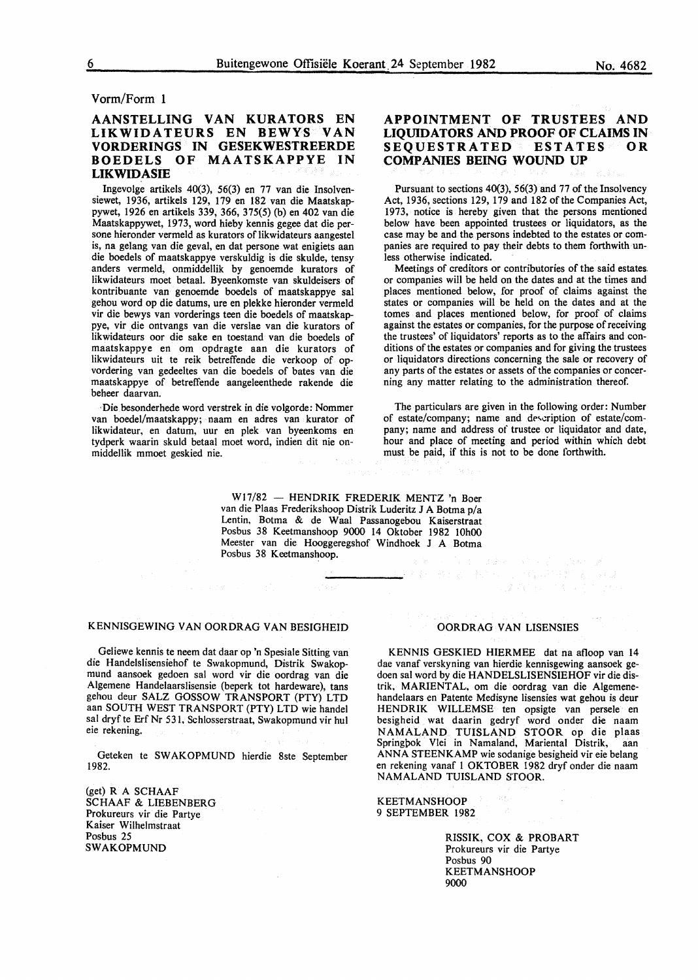Vorm/Form 1

## AANSTELLING VAN KURATORS EN LIKWIDATEURS EN BEWYS VAN VORDERINGS IN GESEKWESTREERDE BOEDELS OF MAATSKAPPYE IN LIKWIDASIE

Ingevolge artikels 40(3), 56(3) en 77 van die lnsolvensiewet, 1936, artikels 129, 179 en 182 van die Maatskappywet, 1926 en artikels 339, 366, 375(5) (b) en 402 van die Maatskappywet, 1973, word hieby kennis gegee dat die persone hieronder vermeld as kurators of likwidateurs aangestel is, na gelang van die geval, en dat persone wat enigiets aan die boedels of maatskappye verskuldig is die skulde, tensy anders vermeld, onmiddellik by genoemde kurators of likwidateurs moet betaal. Byeenkomste van skuldeisers of kontribuante van genoemde boedels of maatskappye sal gehou word op die datums, ure en plekke hieronder vermeld vir die bewys van vorderings teen die boedels of maatskappye, vir die ontvangs van die verslae van die kurators of likwidateurs oor die sake en toestand van die boedels of maatskappye en om opdragte aan die kurators of likwidateurs uit te reik betreffende die verkoop of opvordering van gedeeltes van die boedels of bates van die maatskappye of betreffende aangeleenthede rakende die beheer daarvan.

·Die besonderhede word verstrek in die volgorde: Nommer van boedel/maatskappy; naam en adres van kurator of likwidateur, en datum, uur en plek van byeenkoms en tydperk waarin skuld betaal moet word, indien dit nie onmiddellik mmoet geskied nie.

## APPOINTMENT OF TRUSTEES AND LIQUIDATORS AND PROOF OF CLAIMS IN SEQUESTRATED ESTATES OR COMPANIES BEING WOUND UP

Pursuant to sections 40(3), 56(3) and 77 of the Insolvency Act, 1936, sections 129, 179 and 182 of the Companies Act, 1973, notice is hereby given that the persons mentioned below have been appointed trustees or liquidators, as the case may be and the persons indebted to the estates or companies are required to pay their debts to them forthwith unless otherwise indicated.

Meetings of creditors or contributories of the said estates or companies will be held on the dates and at the times and places mentioned below, for proof of claims against the states or companies will be held on the dates and at the tomes and places mentioned below, for proof of claims against the estates or companies, for the purpose of receiving the trustees' of liquidators' reports as to the affairs and conditions of the estates or companies and for giving the trustees or liquidators directions concerning the sale or recovery of any parts of the estates or assets of the companies or concerning any matter relating to the administration thereof.

The particulars are given in the following order: Number of estate/company; name and description of estate/company; name and address of trustee or liquidator and date, hour and place of meeting and period within which debt must be paid, if this is not to be done forthwith.

W17/82 - HENDRIK FREDERIK MENTZ 'n Boer van die Plaas Frederikshoop Distrik Luderitz J A Botma p/a Lentin, Botma & de Waal Passanogebou Kaiserstraat Posbus 38 Keetmanshoop 9000 14 Oktober 1982 IOhOO Meester van die Hooggeregshof Windhoek J A Botma Posbus 38 Keetmanshoop. 

#### KENNISGEWING VAN OORDRAG VAN BESIGHEID

Geliewe kennis te neem dat daar op 'n Spesiale Sitting van die Handelslisensiehof te Swakopmund, Distrik Swakopmund aansoek gedoen sal word vir die oordrag van die Algemene Handelaarslisensie (beperk tot hardeware), tans gehou deur SALZ GOSSOW TRANSPORT (PTY) LTD aan SOUTH WEST TRANSPORT (PTY) LTD wie handel sal dryf te Erf Nr 531, Schlosserstraat, Swakopmund vir hul eie rekening.

Geteken te SW AKOPMUND hierdie 8ste September 1982.

(get) R A SCHAAF SCHAAF & LIESENBERG Prokureurs vir die Partye Kaiser Wilhelmstraat Posbus 25 SWAKOPMUND

#### OORDRAG VAN LISENSIES

KENNIS GESKIED HIERMEE dat na afloop van 14 dae vanaf verskyning van hierdie kennisgewing aansoek gedoen sal word by die HANDELSLISENSIEHOF vir die distrik, MARIENTAL, om die oordrag van die Algemenehandelaars en Patente Medisyne lisensies wat gehou is deur HENDRIK WILLEMSE ten opsigte van persele en besigheid wat daarin gedryf word onder die naam NAMALAND TUISLAND STOOR op die plaas Springpok Vlei in Namaland, Mariental Distrik, aan ANNA STEENKAMP wie sodanige besigheid vir eie belang en rekening vanaf 1 OK TOBER 1982 dryf onder die naam NAMALAND TUISLAND STOOR.

KEETMANSHOOP 9 SEPTEMBER 1982

> RISSIK, COX & PROBART Prokureurs vir die Partye Posbus 90 **KEETMANSHOOP** 9000